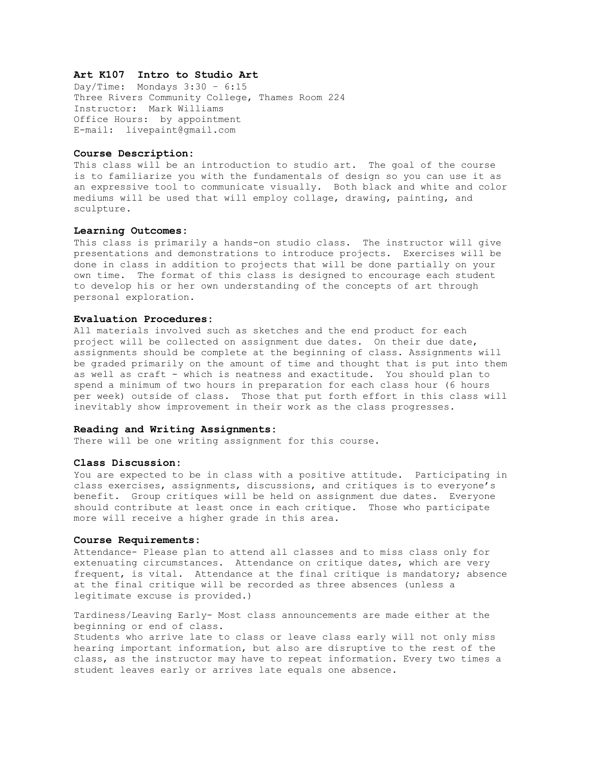# **Art K107 Intro to Studio Art**

Day/Time: Mondays 3:30 – 6:15 Three Rivers Community College, Thames Room 224 Instructor: Mark Williams Office Hours: by appointment E-mail: livepaint@gmail.com

### **Course Description:**

This class will be an introduction to studio art. The goal of the course is to familiarize you with the fundamentals of design so you can use it as an expressive tool to communicate visually. Both black and white and color mediums will be used that will employ collage, drawing, painting, and sculpture.

#### **Learning Outcomes:**

This class is primarily a hands-on studio class. The instructor will give presentations and demonstrations to introduce projects. Exercises will be done in class in addition to projects that will be done partially on your own time. The format of this class is designed to encourage each student to develop his or her own understanding of the concepts of art through personal exploration.

### **Evaluation Procedures:**

All materials involved such as sketches and the end product for each project will be collected on assignment due dates. On their due date, assignments should be complete at the beginning of class. Assignments will be graded primarily on the amount of time and thought that is put into them as well as craft - which is neatness and exactitude. You should plan to spend a minimum of two hours in preparation for each class hour (6 hours per week) outside of class. Those that put forth effort in this class will inevitably show improvement in their work as the class progresses.

# **Reading and Writing Assignments:**

There will be one writing assignment for this course.

### **Class Discussion:**

You are expected to be in class with a positive attitude. Participating in class exercises, assignments, discussions, and critiques is to everyone's benefit. Group critiques will be held on assignment due dates. Everyone should contribute at least once in each critique. Those who participate more will receive a higher grade in this area.

## **Course Requirements:**

Attendance- Please plan to attend all classes and to miss class only for extenuating circumstances. Attendance on critique dates, which are very frequent, is vital. Attendance at the final critique is mandatory; absence at the final critique will be recorded as three absences (unless a legitimate excuse is provided.)

Tardiness/Leaving Early- Most class announcements are made either at the beginning or end of class.

Students who arrive late to class or leave class early will not only miss hearing important information, but also are disruptive to the rest of the class, as the instructor may have to repeat information. Every two times a student leaves early or arrives late equals one absence.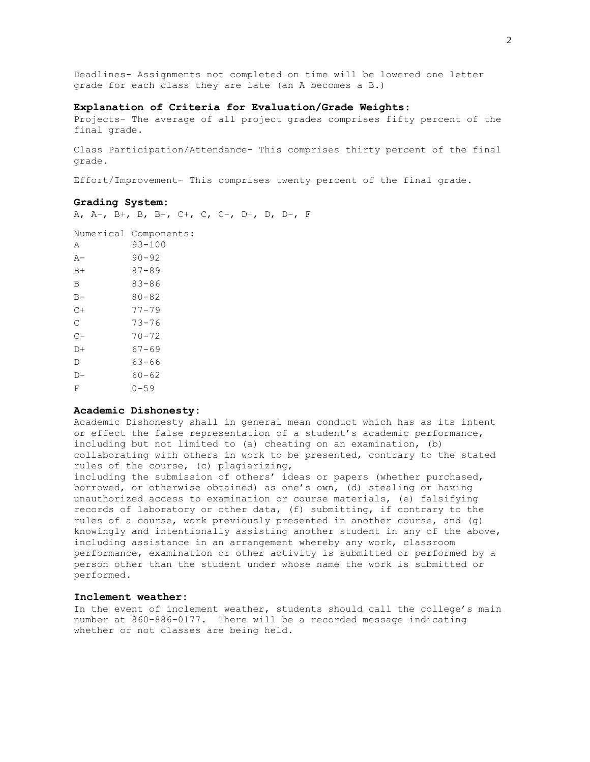Deadlines- Assignments not completed on time will be lowered one letter grade for each class they are late (an A becomes a B.)

## **Explanation of Criteria for Evaluation/Grade Weights:**

Projects- The average of all project grades comprises fifty percent of the final grade.

Class Participation/Attendance- This comprises thirty percent of the final grade.

Effort/Improvement- This comprises twenty percent of the final grade.

#### **Grading System:**

A, A-, B+, B, B-, C+, C, C-, D+, D, D-, F

|       | Numerical Components: |
|-------|-----------------------|
| А     | $93 - 100$            |
| $A -$ | $90 - 92$             |
| $B+$  | $87 - 89$             |
| B     | 83-86                 |
| $B -$ | $80 - 82$             |
| $C +$ | $77 - 79$             |
| C     | 73-76                 |
| $C -$ | $70 - 72$             |
| D+    | $67 - 69$             |
| D     | 63-66                 |
| D-    | $60 - 62$             |
| F     | $0 - 59$              |

#### **Academic Dishonesty:**

Academic Dishonesty shall in general mean conduct which has as its intent or effect the false representation of a student's academic performance, including but not limited to (a) cheating on an examination, (b) collaborating with others in work to be presented, contrary to the stated rules of the course, (c) plagiarizing,

including the submission of others' ideas or papers (whether purchased, borrowed, or otherwise obtained) as one's own, (d) stealing or having unauthorized access to examination or course materials, (e) falsifying records of laboratory or other data, (f) submitting, if contrary to the rules of a course, work previously presented in another course, and (g) knowingly and intentionally assisting another student in any of the above, including assistance in an arrangement whereby any work, classroom performance, examination or other activity is submitted or performed by a person other than the student under whose name the work is submitted or performed.

# **Inclement weather:**

In the event of inclement weather, students should call the college's main number at 860-886-0177. There will be a recorded message indicating whether or not classes are being held.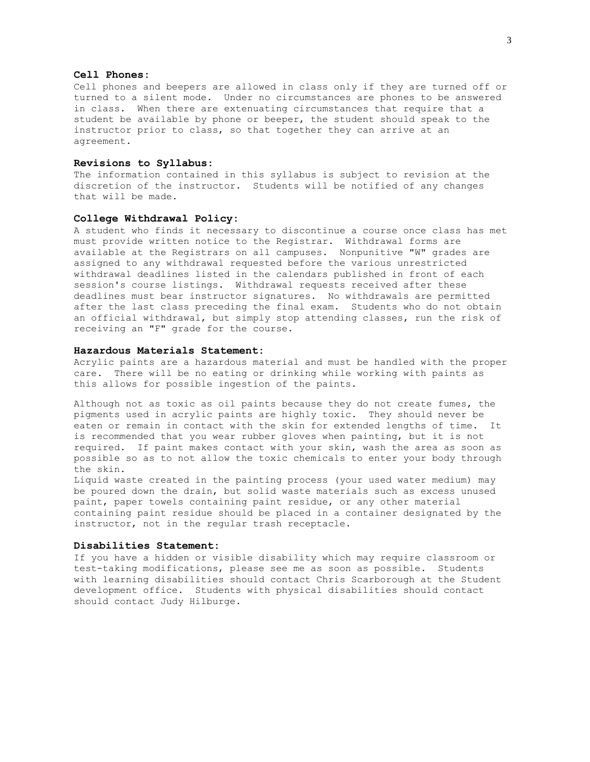## **Cell Phones:**

Cell phones and beepers are allowed in class only if they are turned off or turned to a silent mode. Under no circumstances are phones to be answered in class. When there are extenuating circumstances that require that a student be available by phone or beeper, the student should speak to the instructor prior to class, so that together they can arrive at an agreement.

## **Revisions to Syllabus:**

The information contained in this syllabus is subject to revision at the discretion of the instructor. Students will be notified of any changes that will be made.

### **College Withdrawal Policy:**

A student who finds it necessary to discontinue a course once class has met must provide written notice to the Registrar. Withdrawal forms are available at the Registrars on all campuses. Nonpunitive "W" grades are assigned to any withdrawal requested before the various unrestricted withdrawal deadlines listed in the calendars published in front of each session's course listings. Withdrawal requests received after these deadlines must bear instructor signatures. No withdrawals are permitted after the last class preceding the final exam. Students who do not obtain an official withdrawal, but simply stop attending classes, run the risk of receiving an "F" grade for the course.

### **Hazardous Materials Statement:**

Acrylic paints are a hazardous material and must be handled with the proper care. There will be no eating or drinking while working with paints as this allows for possible ingestion of the paints.

Although not as toxic as oil paints because they do not create fumes, the pigments used in acrylic paints are highly toxic. They should never be eaten or remain in contact with the skin for extended lengths of time. It is recommended that you wear rubber gloves when painting, but it is not required. If paint makes contact with your skin, wash the area as soon as possible so as to not allow the toxic chemicals to enter your body through the skin.

Liquid waste created in the painting process (your used water medium) may be poured down the drain, but solid waste materials such as excess unused paint, paper towels containing paint residue, or any other material containing paint residue should be placed in a container designated by the instructor, not in the regular trash receptacle.

### **Disabilities Statement:**

If you have a hidden or visible disability which may require classroom or test-taking modifications, please see me as soon as possible. Students with learning disabilities should contact Chris Scarborough at the Student development office. Students with physical disabilities should contact should contact Judy Hilburge.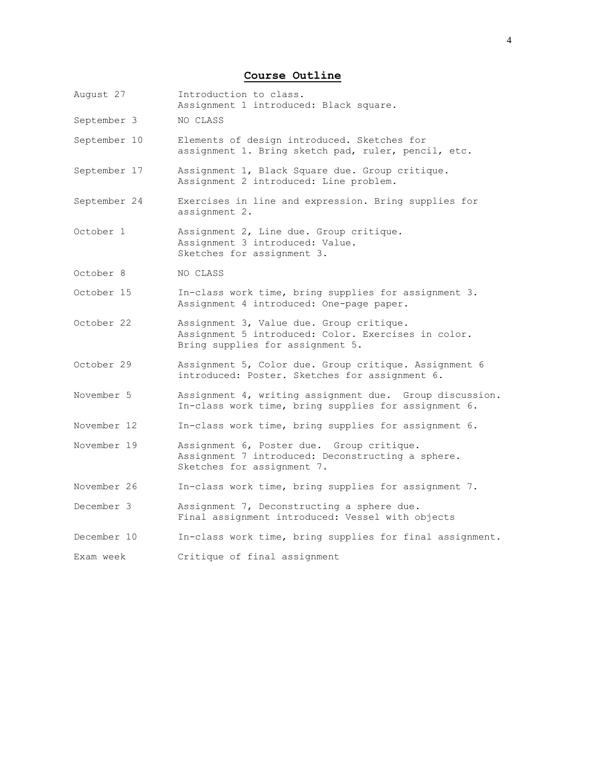# **Course Outline**

August 27 Introduction to class. Assignment 1 introduced: Black square. September 3 NO CLASS September 10 Elements of design introduced. Sketches for assignment 1. Bring sketch pad, ruler, pencil, etc. September 17 Assignment 1, Black Square due. Group critique. Assignment 2 introduced: Line problem. September 24 Exercises in line and expression. Bring supplies for assignment 2. October 1 Assignment 2, Line due. Group critique. Assignment 3 introduced: Value. Sketches for assignment 3. October 8 NO CLASS October 15 In-class work time, bring supplies for assignment 3. Assignment 4 introduced: One-page paper. October 22 Assignment 3, Value due. Group critique. Assignment 5 introduced: Color. Exercises in color. Bring supplies for assignment 5. October 29 Assignment 5, Color due. Group critique. Assignment 6 introduced: Poster. Sketches for assignment 6. November 5 Assignment 4, writing assignment due. Group discussion. In-class work time, bring supplies for assignment 6. November 12 In-class work time, bring supplies for assignment 6. November 19 Assignment 6, Poster due. Group critique. Assignment 7 introduced: Deconstructing a sphere. Sketches for assignment 7. November 26 In-class work time, bring supplies for assignment 7. December 3 Assignment 7, Deconstructing a sphere due. Final assignment introduced: Vessel with objects December 10 In-class work time, bring supplies for final assignment. Exam week Critique of final assignment